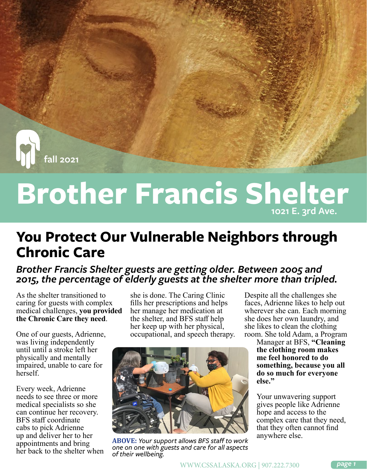**fall 2021**

## **Brother Francis Shelter 1021 E. 3rd Ave.**

## **You Protect Our Vulnerable Neighbors through Chronic Care**

#### *Brother Francis Shelter guests are getting older. Between 2005 and 2015, the percentage of elderly guests at the shelter more than tripled.*

As the shelter transitioned to caring for guests with complex medical challenges, **you provided the Chronic Care they need**.

One of our guests, Adrienne, was living independently until until a stroke left her physically and mentally impaired, unable to care for herself.

Every week, Adrienne needs to see three or more medical specialists so she can continue her recovery. BFS staff coordinate cabs to pick Adrienne up and deliver her to her appointments and bring her back to the shelter when

she is done. The Caring Clinic fills her prescriptions and helps her manage her medication at the shelter, and BFS staff help her keep up with her physical, occupational, and speech therapy.



**ABOVE:** *Your support allows BFS staff to work one on one with guests and care for all aspects of their wellbeing.*

Despite all the challenges she faces, Adrienne likes to help out wherever she can. Each morning she does her own laundry, and she likes to clean the clothing room. She told Adam, a Program

Manager at BFS, **"Cleaning the clothing room makes me feel honored to do something, because you all do so much for everyone else."**

Your unwavering support gives people like Adrienne hope and access to the complex care that they need, that they often cannot find anywhere else.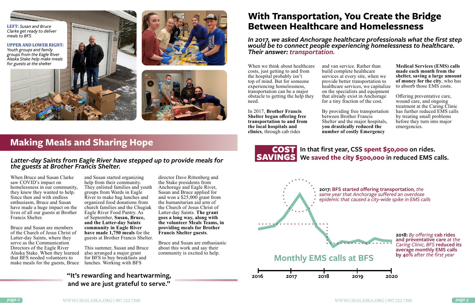When Bruce and Susan Clarke saw COVID's impact on homelessness in our community, they knew they wanted to help. Since then and with endless enthusiasm, Bruce and Susan have made a huge impact on the lives of all our guests at Brother Francis Shelter.

Bruce and Susan are members of the Church of Jesus Christ of Latter-day Saints, where they serve as the Communication Directors of the Eagle River Alaska Stake. When they learned that BFS needed volunteers to make meals for the guests, Bruce lunches. Working with BFS

and Susan started organizing help from their community. They enlisted families and youth groups from Wards in Eagle River to make bag lunches and organized food donations from church families and the Chugiak Eagle River Food Pantry. As of September, **Susan, Bruce, and the Latter-day Saints community in Eagle River have made 1,750 meals** for the guests at Brother Francis Shelter.

This summer, Susan and Bruce also arranged a major grant for BFS to buy breakfasts and

director Dave Rittenberg and the Stake presidents from Anchorage and Eagle River, Susan and Bruce applied for and won a \$25,000 grant from the humanitarian aid arm of the Church of Jesus Christ of Latter-day Saints. **The grant goes a long way, along with the volunteer Meals Teams, in providing meals for Brother Francis Shelter guests**.

Bruce and Susan are enthusiastic about this work and say their community is excited to help.

When we think about healthcare costs, just getting to and from the hospital probably isn't top of mind. But for someone experiencing homelessness, transportation can be a major obstacle to getting the help they need.

In 2017, **Brother Francis Shelter began offering free transportation to and from the local hospitals and clinics**, through cab rides

and van service. Rather than build complete healthcare services at every site, when we provide better transportation to healthcare services, we capitalize on the specialists and equipment that already exist in Anchorage for a tiny fraction of the cost.

By providing free transportation between Brother Francis Shelter and the major hospitals, **you drastically reduced the number of costly Emergency** 

**Medical Services (EMS) calls made each month from the shelter, saving a large amount of money for the city**, who has to absorb those EMS costs.

Offering preventative care, wound care, and ongoing treatment at the Caring Clinic has further reduced EMS calls by treating small problems before they turn into major emergencies.

## **Making Meals and Sharing Hope**

#### *Latter-day Saints from Eagle River have stepped up to provide meals for the guests at Brother Francis Shelter.*

*In 2017, we asked Anchorage healthcare professionals what the first step would be to connect people experiencing homelessness to healthcare. Their answer: transportation.*

*epidemic that caused a city-wide spike in EMS calls*



**2018:** *By offering* **cab rides and preventative care** *at the Caring Clinic, BFS* **reduced its average monthly EMS calls** 

#### COST SAVINGS **We saved the city \$500,000 in reduced EMS calls. In that first year, CSS spent \$50,000 on rides.**

# **With Transportation, You Create the Bridge**



### **"It's rewarding and heartwarming, and we are just grateful to serve."**